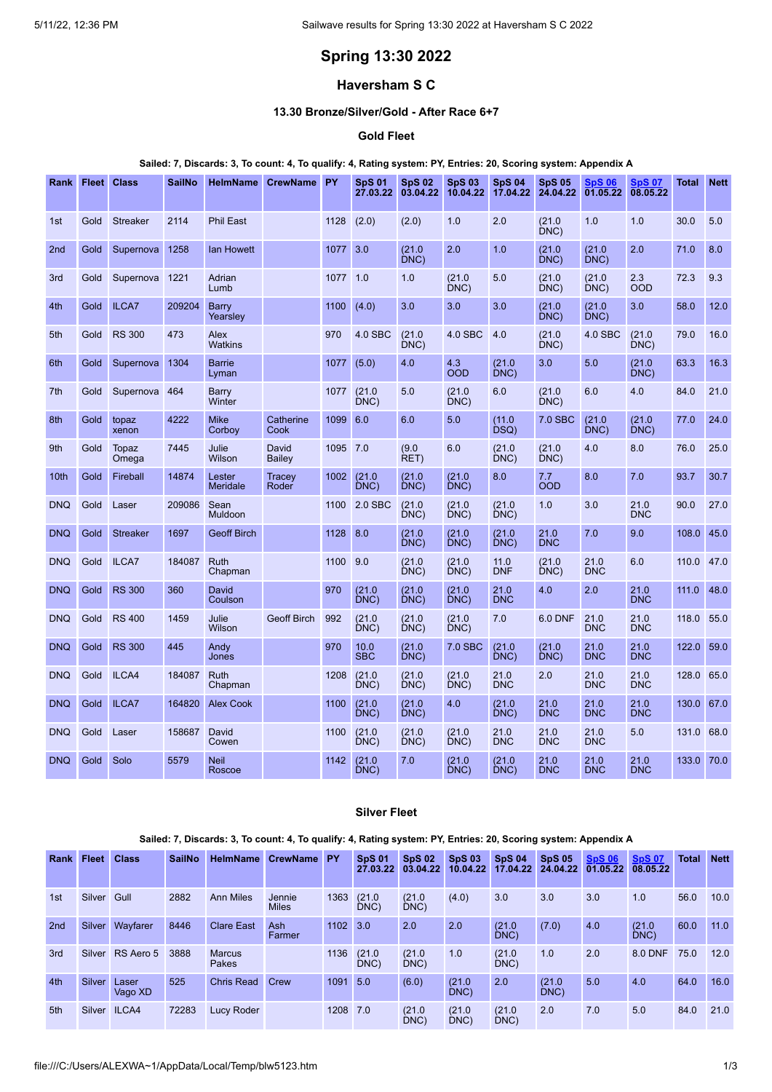# **Spring 13:30 2022**

## **Haversham S C**

### **13.30 Bronze/Silver/Gold - After Race 6+7**

### **Gold Fleet**

#### Sailed: 7, Discards: 3, To count: 4, To qualify: 4, Rating system: PY, Entries: 20, Scoring system: Appendix A

| Rank             |      | <b>Fleet Class</b> | <b>SailNo</b> | <b>HelmName</b>           | <b>CrewName</b>    | <b>PY</b> | <b>SpS 01</b><br>27.03.22 | <b>SpS 02</b><br>03.04.22 | <b>SpS 03</b><br>10.04.22 | <b>SpS 04</b><br>17.04.22 | <b>SpS 05</b><br>24.04.22 | <b>SpS 06</b><br>01.05.22 | <b>SpS 07</b><br>08.05.22 | Total | <b>Nett</b> |
|------------------|------|--------------------|---------------|---------------------------|--------------------|-----------|---------------------------|---------------------------|---------------------------|---------------------------|---------------------------|---------------------------|---------------------------|-------|-------------|
| 1st              | Gold | <b>Streaker</b>    | 2114          | <b>Phil East</b>          |                    | 1128      | (2.0)                     | (2.0)                     | 1.0                       | 2.0                       | (21.0)<br>DNC)            | 1.0                       | 1.0                       | 30.0  | 5.0         |
| 2 <sub>nd</sub>  | Gold | Supernova          | 1258          | lan Howett                |                    | 1077      | 3.0                       | (21.0)<br>DNC)            | 2.0                       | 1.0                       | (21.0)<br>DNC)            | (21.0)<br>DNC)            | 2.0                       | 71.0  | 8.0         |
| 3rd              | Gold | Supernova          | 1221          | Adrian<br>Lumb            |                    | 1077      | 1.0                       | 1.0                       | (21.0)<br>DNC)            | 5.0                       | (21.0)<br>DNC)            | (21.0)<br>DNC             | 2.3<br><b>OOD</b>         | 72.3  | 9.3         |
| 4th              | Gold | ILCA7              | 209204        | <b>Barry</b><br>Yearsley  |                    | 1100      | (4.0)                     | 3.0                       | 3.0                       | 3.0                       | (21.0)<br>DNC)            | (21.0)<br>DNC             | 3.0                       | 58.0  | 12.0        |
| 5th              | Gold | <b>RS 300</b>      | 473           | Alex<br><b>Watkins</b>    |                    | 970       | 4.0 SBC                   | (21.0)<br>DNC)            | 4.0 SBC                   | 4.0                       | (21.0)<br>DNC)            | 4.0 SBC                   | (21.0)<br>DNC)            | 79.0  | 16.0        |
| 6th              | Gold | Supernova          | 1304          | <b>Barrie</b><br>Lyman    |                    | 1077      | (5.0)                     | 4.0                       | 4.3<br><b>OOD</b>         | (21.0)<br>DNC)            | 3.0                       | 5.0                       | (21.0)<br>DNC)            | 63.3  | 16.3        |
| 7th              | Gold | Supernova          | 464           | Barry<br>Winter           |                    | 1077      | (21.0)<br>DNC             | 5.0                       | (21.0)<br>DNC)            | 6.0                       | (21.0)<br>DNC)            | 6.0                       | 4.0                       | 84.0  | 21.0        |
| 8th              | Gold | topaz<br>xenon     | 4222          | <b>Mike</b><br>Corboy     | Catherine<br>Cook  | 1099      | 6.0                       | 6.0                       | 5.0                       | (11.0)<br>DSQ)            | 7.0 SBC                   | (21.0)<br>DNC)            | (21.0)<br>DNC)            | 77.0  | 24.0        |
| 9th              | Gold | Topaz<br>Omega     | 7445          | Julie<br>Wilson           | David<br>Bailey    | 1095 7.0  |                           | (9.0)<br>RET)             | 6.0                       | (21.0)<br>DNC)            | (21.0)<br>DNC)            | 4.0                       | 8.0                       | 76.0  | 25.0        |
| 10 <sub>th</sub> | Gold | Fireball           | 14874         | Lester<br><b>Meridale</b> | Tracey<br>Roder    | 1002      | (21.0)<br>DNC)            | (21.0)<br>DNC)            | (21.0)<br>DNC)            | 8.0                       | 7.7<br><b>OOD</b>         | 8.0                       | 7.0                       | 93.7  | 30.7        |
| <b>DNQ</b>       | Gold | Laser              | 209086        | Sean<br>Muldoon           |                    | 1100      | 2.0 SBC                   | (21.0)<br>DNC)            | (21.0)<br>DNC)            | (21.0)<br>DNC)            | 1.0                       | 3.0                       | 21.0<br><b>DNC</b>        | 90.0  | 27.0        |
| <b>DNQ</b>       | Gold | <b>Streaker</b>    | 1697          | <b>Geoff Birch</b>        |                    | 1128      | 8.0                       | (21.0)<br>DNC)            | (21.0)<br>DNC)            | (21.0)<br>DNC)            | 21.0<br><b>DNC</b>        | 7.0                       | 9.0                       | 108.0 | 45.0        |
| <b>DNQ</b>       | Gold | ILCA7              | 184087        | Ruth<br>Chapman           |                    | 1100      | 9.0                       | (21.0)<br>DNC             | (21.0)<br>DNC)            | 11.0<br><b>DNF</b>        | (21.0)<br>DNC)            | 21.0<br><b>DNC</b>        | 6.0                       | 110.0 | 47.0        |
| <b>DNQ</b>       | Gold | <b>RS 300</b>      | 360           | David<br>Coulson          |                    | 970       | (21.0)<br>DNC)            | (21.0)<br>DNC)            | (21.0)<br>DNC)            | 21.0<br><b>DNC</b>        | 4.0                       | 2.0                       | 21.0<br><b>DNC</b>        | 111.0 | 48.0        |
| <b>DNQ</b>       | Gold | <b>RS 400</b>      | 1459          | Julie<br>Wilson           | <b>Geoff Birch</b> | 992       | (21.0)<br>DNC)            | (21.0)<br>DNC)            | (21.0)<br>DNC)            | 7.0                       | <b>6.0 DNF</b>            | 21.0<br><b>DNC</b>        | 21.0<br><b>DNC</b>        | 118.0 | 55.0        |
| <b>DNQ</b>       | Gold | <b>RS 300</b>      | 445           | Andy<br>Jones             |                    | 970       | 10.0<br><b>SBC</b>        | (21.0)<br>DNC)            | 7.0 SBC                   | (21.0)<br>DNC)            | (21.0)<br>DNC)            | 21.0<br><b>DNC</b>        | 21.0<br><b>DNC</b>        | 122.0 | 59.0        |
| <b>DNQ</b>       | Gold | ILCA4              | 184087        | Ruth<br>Chapman           |                    | 1208      | (21.0)<br>DNC)            | (21.0)<br>DNC)            | (21.0)<br>DNC)            | 21.0<br><b>DNC</b>        | 2.0                       | 21.0<br><b>DNC</b>        | 21.0<br><b>DNC</b>        | 128.0 | 65.0        |
| <b>DNQ</b>       | Gold | ILCA7              | 164820        | <b>Alex Cook</b>          |                    | 1100      | (21.0)<br>DNC)            | (21.0)<br>DNC)            | 4.0                       | (21.0)<br>DNC)            | 21.0<br><b>DNC</b>        | 21.0<br><b>DNC</b>        | 21.0<br><b>DNC</b>        | 130.0 | 67.0        |
| <b>DNQ</b>       | Gold | Laser              | 158687        | David<br>Cowen            |                    | 1100      | (21.0)<br>DNC)            | (21.0)<br>DNC)            | (21.0)<br>DNC)            | 21.0<br><b>DNC</b>        | 21.0<br><b>DNC</b>        | 21.0<br><b>DNC</b>        | 5.0                       | 131.0 | 68.0        |
| <b>DNQ</b>       | Gold | Solo               | 5579          | <b>Neil</b><br>Roscoe     |                    | 1142      | (21.0)<br>DNC)            | 7.0                       | (21.0)<br>DNC)            | (21.0)<br>DNC)            | 21.0<br><b>DNC</b>        | 21.0<br><b>DNC</b>        | 21.0<br><b>DNC</b>        | 133.0 | 70.0        |

### **Silver Fleet**

#### Sailed: 7, Discards: 3, To count: 4, To qualify: 4, Rating system: PY, Entries: 20, Scoring system: Appendix A

| Rank | Fleet               | <b>Class</b>     | <b>SailNo</b> | <b>HelmName</b>        | CrewName PY            |          | <b>SpS 01</b><br>27.03.22 | <b>SpS 02</b><br>03.04.22 | <b>SpS 03</b><br>10.04.22 | <b>SpS 04</b><br>17.04.22 | <b>SpS 05</b><br>24.04.22 | <b>SpS 06</b><br>01.05.22 | <b>SpS 07</b><br>08.05.22 | <b>Total</b> | <b>Nett</b> |
|------|---------------------|------------------|---------------|------------------------|------------------------|----------|---------------------------|---------------------------|---------------------------|---------------------------|---------------------------|---------------------------|---------------------------|--------------|-------------|
| 1st  | Silver Gull         |                  | 2882          | <b>Ann Miles</b>       | Jennie<br><b>Miles</b> | 1363     | (21.0)<br>DNC)            | (21.0)<br>DNC)            | (4.0)                     | 3.0                       | 3.0                       | 3.0                       | 1.0                       | 56.0         | 10.0        |
| 2nd  | Silver              | Wayfarer         | 8446          | <b>Clare East</b>      | <b>Ash</b><br>Farmer   | 1102 3.0 |                           | 2.0                       | 2.0                       | (21.0)<br>DNC             | (7.0)                     | 4.0                       | (21.0)<br>DNC             | 60.0         | 11.0        |
| 3rd  | Silver              | RS Aero 5        | 3888          | <b>Marcus</b><br>Pakes |                        | 1136     | (21.0)<br>DNC)            | (21.0)<br>DNC             | 1.0                       | (21.0)<br>DNC             | 1.0                       | 2.0                       | 8.0 DNF                   | 75.0         | 12.0        |
| 4th  | Silver <sup>1</sup> | Laser<br>Vago XD | 525           | Chris Read             | Crew                   | 1091 5.0 |                           | (6.0)                     | (21.0)<br>DNC)            | 2.0                       | (21.0)<br>DNC)            | 5.0                       | 4.0                       | 64.0         | 16.0        |
| 5th  |                     | Silver ILCA4     | 72283         | <b>Lucy Roder</b>      |                        | 1208 7.0 |                           | (21.0)<br>DNC             | (21.0)<br>DNC)            | (21.0)<br>DNC             | 2.0                       | 7.0                       | 5.0                       | 84.0         | 21.0        |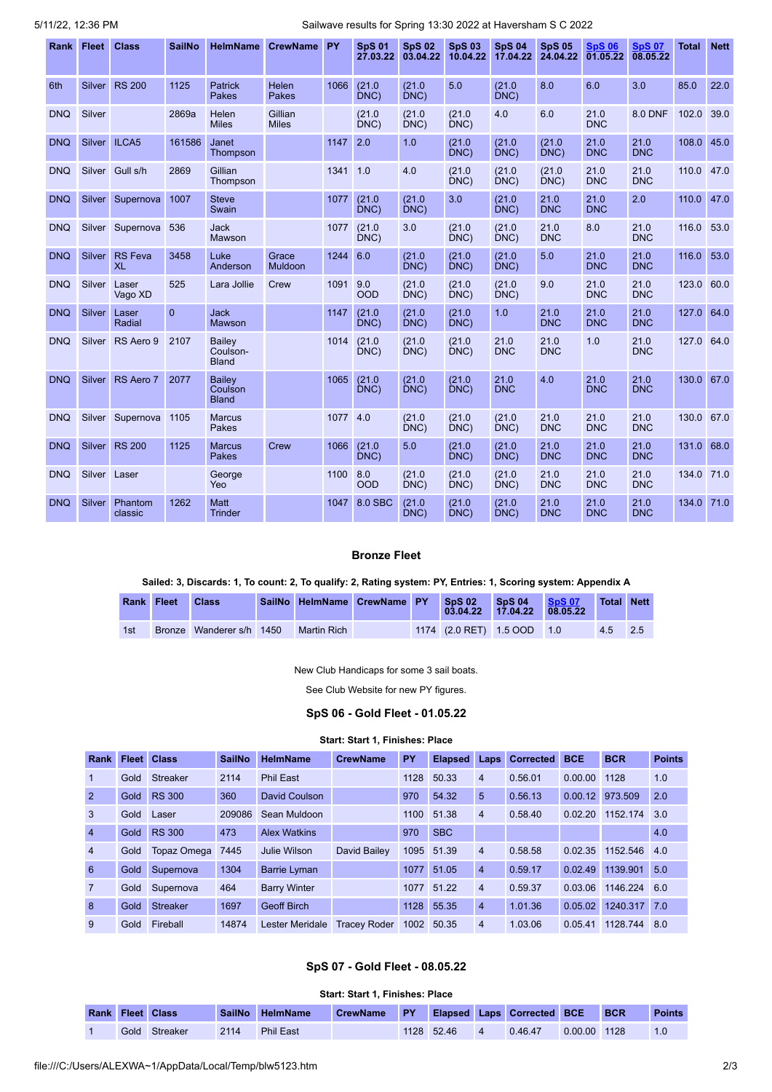5/11/22, 12:36 PM Sailwave results for Spring 13:30 2022 at Haversham S C 2022

| Rank       | <b>Fleet</b>  | <b>Class</b>                | <b>SailNo</b> | <b>HelmName</b>                           | <b>CrewName</b>              | PY   | <b>SpS 01</b><br>27.03.22 | <b>SpS 02</b><br>03.04.22 | <b>SpS 03</b><br>10.04.22 | <b>SpS 04</b><br>17.04.22 | <b>SpS 05</b><br>24.04.22 | <b>SpS 06</b><br>01.05.22 | <b>SpS 07</b><br>08.05.22 | <b>Total</b> | <b>Nett</b> |
|------------|---------------|-----------------------------|---------------|-------------------------------------------|------------------------------|------|---------------------------|---------------------------|---------------------------|---------------------------|---------------------------|---------------------------|---------------------------|--------------|-------------|
| 6th        | Silver        | <b>RS 200</b>               | 1125          | <b>Patrick</b><br>Pakes                   | <b>Helen</b><br><b>Pakes</b> | 1066 | (21.0)<br>DNC)            | (21.0)<br>DNC)            | 5.0                       | (21.0)<br>DNC)            | 8.0                       | 6.0                       | 3.0                       | 85.0         | 22.0        |
| <b>DNQ</b> | Silver        |                             | 2869a         | Helen<br><b>Miles</b>                     | Gillian<br><b>Miles</b>      |      | (21.0)<br>DNC             | (21.0)<br>DNC             | (21.0)<br>DNC)            | 4.0                       | 6.0                       | 21.0<br><b>DNC</b>        | <b>8.0 DNF</b>            | 102.0        | 39.0        |
| <b>DNQ</b> | Silver ILCA5  |                             | 161586        | Janet<br>Thompson                         |                              | 1147 | 2.0                       | 1.0                       | (21.0)<br>DNC)            | (21.0)<br>DNC)            | (21.0)<br>DNC)            | 21.0<br><b>DNC</b>        | 21.0<br><b>DNC</b>        | 108.0        | 45.0        |
| <b>DNQ</b> | Silver        | Gull s/h                    | 2869          | Gillian<br>Thompson                       |                              | 1341 | 1.0                       | 4.0                       | (21.0)<br>DNC)            | (21.0)<br>DNC             | (21.0)<br>DNC)            | 21.0<br><b>DNC</b>        | 21.0<br><b>DNC</b>        | 110.0        | 47.0        |
| <b>DNQ</b> | Silver        | Supernova                   | 1007          | <b>Steve</b><br>Swain                     |                              | 1077 | (21.0)<br>DNC)            | (21.0)<br>DNC)            | 3.0                       | (21.0)<br>DNC)            | 21.0<br><b>DNC</b>        | 21.0<br><b>DNC</b>        | 2.0                       | 110.0        | 47.0        |
| <b>DNQ</b> |               | Silver Supernova            | 536           | <b>Jack</b><br>Mawson                     |                              | 1077 | (21.0)<br>DNC)            | 3.0                       | (21.0)<br>DNC)            | (21.0)<br>DNC             | 21.0<br><b>DNC</b>        | 8.0                       | 21.0<br><b>DNC</b>        | 116.0        | 53.0        |
| <b>DNQ</b> | Silver        | <b>RS</b> Feva<br><b>XL</b> | 3458          | Luke<br>Anderson                          | Grace<br><b>Muldoon</b>      | 1244 | 6.0                       | (21.0)<br>DNC)            | (21.0)<br>DNC)            | (21.0)<br>DNC)            | 5.0                       | 21.0<br><b>DNC</b>        | 21.0<br><b>DNC</b>        | 116.0        | 53.0        |
| <b>DNQ</b> | Silver        | Laser<br>Vago XD            | 525           | Lara Jollie                               | Crew                         | 1091 | 9.0<br><b>OOD</b>         | (21.0)<br>DNC)            | (21.0)<br>DNC)            | (21.0)<br>DNC)            | 9.0                       | 21.0<br><b>DNC</b>        | 21.0<br><b>DNC</b>        | 123.0        | 60.0        |
| <b>DNQ</b> | Silver        | Laser<br>Radial             | $\Omega$      | <b>Jack</b><br>Mawson                     |                              | 1147 | (21.0)<br>DNC)            | (21.0)<br>DNC)            | (21.0)<br>DNC)            | 1.0                       | 21.0<br><b>DNC</b>        | 21.0<br><b>DNC</b>        | 21.0<br><b>DNC</b>        | 127.0        | 64.0        |
| <b>DNQ</b> | Silver        | RS Aero 9                   | 2107          | <b>Bailev</b><br>Coulson-<br><b>Bland</b> |                              | 1014 | (21.0)<br>DNC)            | (21.0)<br>DNC)            | (21.0)<br>DNC)            | 21.0<br><b>DNC</b>        | 21.0<br><b>DNC</b>        | 1.0                       | 21.0<br><b>DNC</b>        | 127.0        | 64.0        |
| <b>DNQ</b> | Silver        | RS Aero 7                   | 2077          | <b>Bailev</b><br>Coulson<br><b>Bland</b>  |                              | 1065 | (21.0)<br>DNC)            | (21.0)<br>DNC)            | (21.0)<br>DNC)            | 21.0<br><b>DNC</b>        | 4.0                       | 21.0<br><b>DNC</b>        | 21.0<br><b>DNC</b>        | 130.0        | 67.0        |
| <b>DNQ</b> | Silver        | Supernova                   | 1105          | <b>Marcus</b><br>Pakes                    |                              | 1077 | 4.0                       | (21.0)<br>DNC)            | (21.0)<br>DNC)            | (21.0)<br>DNC)            | 21.0<br><b>DNC</b>        | 21.0<br><b>DNC</b>        | 21.0<br><b>DNC</b>        | 130.0        | 67.0        |
| <b>DNQ</b> |               | Silver RS 200               | 1125          | <b>Marcus</b><br>Pakes                    | Crew                         | 1066 | (21.0)<br>DNC             | 5.0                       | (21.0)<br>DNC)            | (21.0)<br>DNC             | 21.0<br><b>DNC</b>        | 21.0<br><b>DNC</b>        | 21.0<br><b>DNC</b>        | 131.0        | 68.0        |
| <b>DNQ</b> | Silver Laser  |                             |               | George<br>Yeo                             |                              | 1100 | 8.0<br><b>OOD</b>         | (21.0)<br>DNC)            | (21.0)<br>DNC)            | (21.0)<br>DNC)            | 21.0<br><b>DNC</b>        | 21.0<br><b>DNC</b>        | 21.0<br><b>DNC</b>        | 134.0        | 71.0        |
| <b>DNQ</b> | <b>Silver</b> | Phantom<br>classic          | 1262          | <b>Matt</b><br><b>Trinder</b>             |                              | 1047 | 8.0 SBC                   | (21.0)<br>DNC)            | (21.0)<br>DNC)            | (21.0)<br>DNC)            | 21.0<br><b>DNC</b>        | 21.0<br><b>DNC</b>        | 21.0<br><b>DNC</b>        | 134.0        | 71.0        |

### **Bronze Fleet**

#### Sailed: 3, Discards: 1, To count: 2, To qualify: 2, Rating system: PY, Entries: 1, Scoring system: Appendix A

| Rank Fleet | <b>Class</b>             | SailNo HelmName CrewName PY |  | <b>SpS 02</b> | <b>SpS 04 SpS 07</b><br>03.04.22 17.04.22 08.05.22 | Total Nett |  |
|------------|--------------------------|-----------------------------|--|---------------|----------------------------------------------------|------------|--|
| 1st        | Bronze Wanderer s/h 1450 | Martin Rich                 |  |               | 1174 (2.0 RET) 1.5 OOD 1.0                         | 4.5 2.5    |  |

New Club Handicaps for some 3 sail boats.

See Club Website for new PY figures.

### **SpS 06 - Gold Fleet - 01.05.22**

#### **Start: Start 1, Finishes: Place**

<span id="page-1-0"></span>

| Rank           |      | <b>Fleet Class</b> | <b>SailNo</b> | <b>HelmName</b>     | <b>CrewName</b>     | PY   | <b>Elapsed</b> | Laps           | <b>Corrected</b> | <b>BCE</b> | <b>BCR</b>       | <b>Points</b> |
|----------------|------|--------------------|---------------|---------------------|---------------------|------|----------------|----------------|------------------|------------|------------------|---------------|
|                | Gold | <b>Streaker</b>    | 2114          | <b>Phil East</b>    |                     | 1128 | 50.33          | $\overline{4}$ | 0.56.01          | 0.00.00    | 1128             | 1.0           |
| $\overline{2}$ | Gold | <b>RS 300</b>      | 360           | David Coulson       |                     | 970  | 54.32          | 5              | 0.56.13          | 0.00.12    | 973.509          | 2.0           |
| 3              | Gold | Laser              | 209086        | Sean Muldoon        |                     | 1100 | 51.38          | $\overline{4}$ | 0.58.40          | 0.02.20    | 1152.174         | 3.0           |
| $\overline{4}$ | Gold | RS 300             | 473           | <b>Alex Watkins</b> |                     | 970  | <b>SBC</b>     |                |                  |            |                  | 4.0           |
| $\overline{4}$ | Gold | Topaz Omega        | 7445          | Julie Wilson        | David Bailey        |      | 1095 51.39     | $\overline{4}$ | 0.58.58          |            | 0.02.35 1152.546 | 4.0           |
| 6              | Gold | Supernova          | 1304          | <b>Barrie Lyman</b> |                     | 1077 | 51.05          | $\overline{4}$ | 0.59.17          | 0.02.49    | 1139.901         | 5.0           |
| $\overline{7}$ | Gold | Supernova          | 464           | <b>Barry Winter</b> |                     | 1077 | 51.22          | $\overline{4}$ | 0.59.37          | 0.03.06    | 1146.224         | 6.0           |
| 8              | Gold | <b>Streaker</b>    | 1697          | <b>Geoff Birch</b>  |                     | 1128 | 55.35          | $\overline{4}$ | 1.01.36          | 0.05.02    | 1240.317 7.0     |               |
| $\mathbf{Q}$   | Gold | Fireball           | 14874         | Lester Meridale     | <b>Tracey Roder</b> | 1002 | 50.35          | $\overline{4}$ | 1.03.06          | 0.05.41    | 1128.744         | 8.0           |

### **SpS 07 - Gold Fleet - 08.05.22**

<span id="page-1-1"></span>

|                                                                                                              | <b>Start: Start 1. Finishes: Place</b> |          |      |                  |  |  |            |  |         |               |  |     |
|--------------------------------------------------------------------------------------------------------------|----------------------------------------|----------|------|------------------|--|--|------------|--|---------|---------------|--|-----|
| <b>Elapsed Laps Corrected BCE</b><br><b>BCR</b><br><b>Rank Fleet Class</b><br>SailNo HelmName<br>CrewName PY |                                        |          |      |                  |  |  |            |  |         | <b>Points</b> |  |     |
|                                                                                                              | Gold                                   | Streaker | 2114 | <b>Phil East</b> |  |  | 1128 52.46 |  | 0.46.47 | 0.00.00 1128  |  | 1.0 |